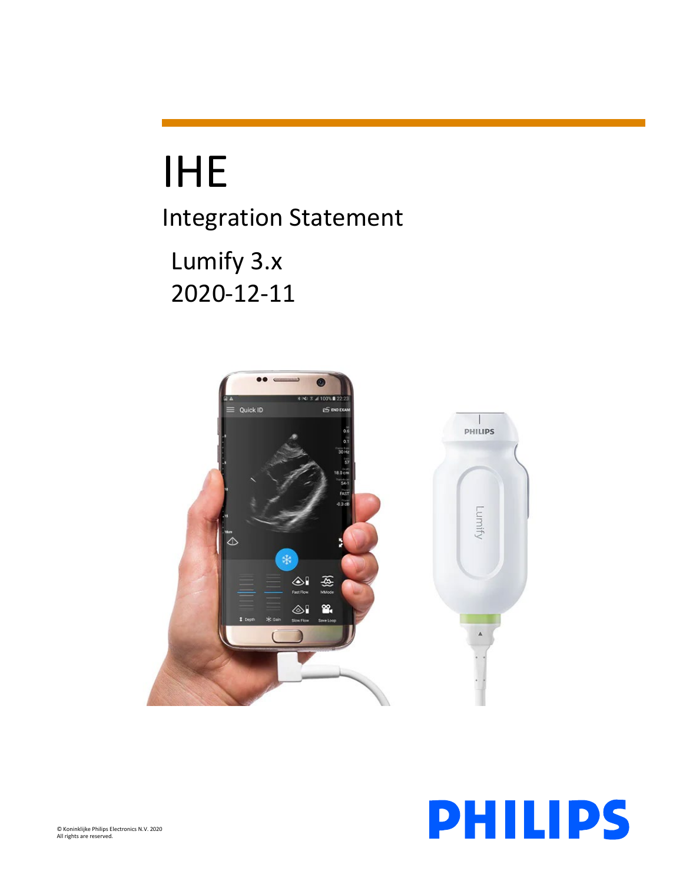# IHE

Integration Statement

Lumify 3.x 2020-12-11



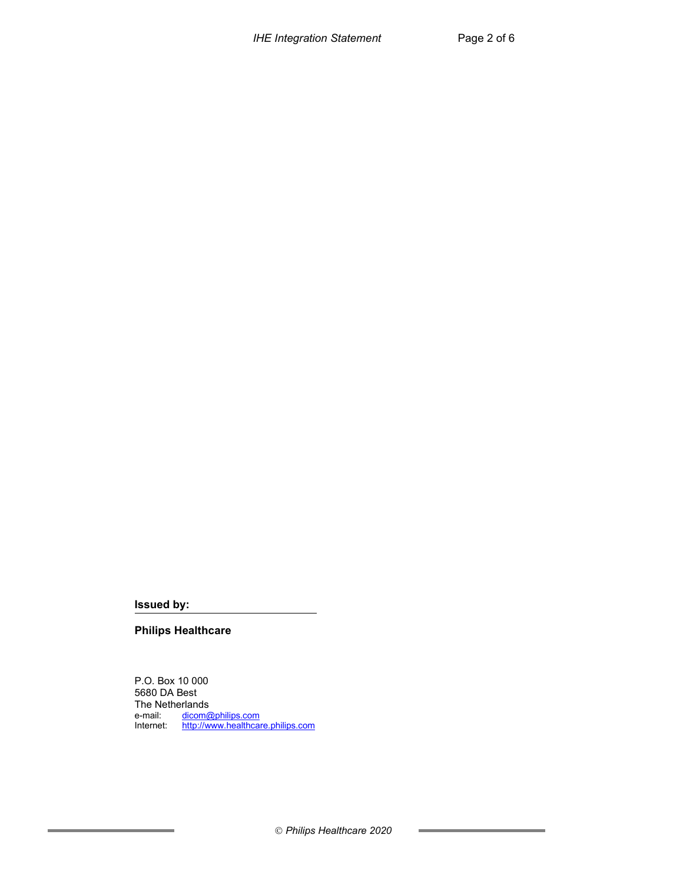**Issued by:**

**Philips Healthcare**

P.O. Box 10 000 5680 DA Best The Netherlands<br>e-mail: dicom@ e-mail: <u>[dicom@philips.com](mailto:dicom@philips.com)</u> Internet: [http://www.healthcare.philips.com](http://www.healthcare.philips.com/)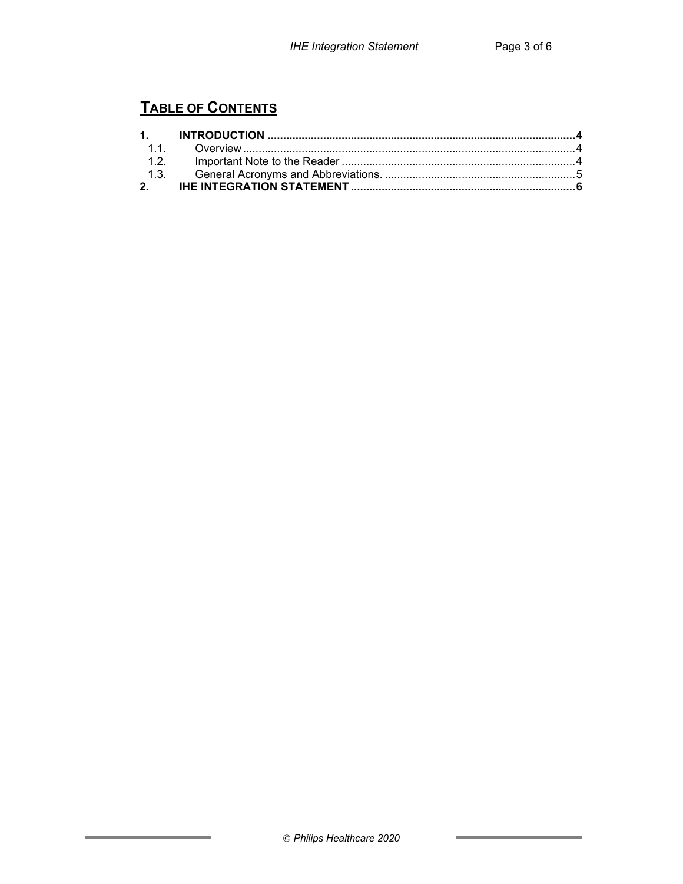## **TABLE OF CONTENTS**

f,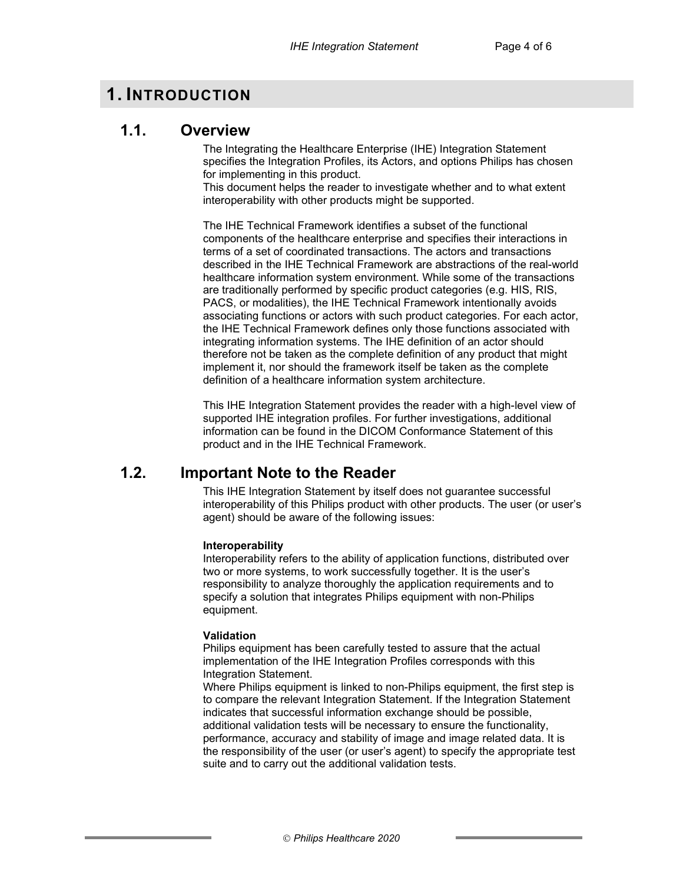## **1. INTRODUCTION**

## **1.1. Overview**

The Integrating the Healthcare Enterprise (IHE) Integration Statement specifies the Integration Profiles, its Actors, and options Philips has chosen for implementing in this product.

This document helps the reader to investigate whether and to what extent interoperability with other products might be supported.

The IHE Technical Framework identifies a subset of the functional components of the healthcare enterprise and specifies their interactions in terms of a set of coordinated transactions. The actors and transactions described in the IHE Technical Framework are abstractions of the real-world healthcare information system environment. While some of the transactions are traditionally performed by specific product categories (e.g. HIS, RIS, PACS, or modalities), the IHE Technical Framework intentionally avoids associating functions or actors with such product categories. For each actor, the IHE Technical Framework defines only those functions associated with integrating information systems. The IHE definition of an actor should therefore not be taken as the complete definition of any product that might implement it, nor should the framework itself be taken as the complete definition of a healthcare information system architecture.

This IHE Integration Statement provides the reader with a high-level view of supported IHE integration profiles. For further investigations, additional information can be found in the DICOM Conformance Statement of this product and in the IHE Technical Framework.

## **1.2. Important Note to the Reader**

This IHE Integration Statement by itself does not guarantee successful interoperability of this Philips product with other products. The user (or user's agent) should be aware of the following issues:

#### **Interoperability**

Interoperability refers to the ability of application functions, distributed over two or more systems, to work successfully together. It is the user's responsibility to analyze thoroughly the application requirements and to specify a solution that integrates Philips equipment with non-Philips equipment.

#### **Validation**

Philips equipment has been carefully tested to assure that the actual implementation of the IHE Integration Profiles corresponds with this Integration Statement.

Where Philips equipment is linked to non-Philips equipment, the first step is to compare the relevant Integration Statement. If the Integration Statement indicates that successful information exchange should be possible, additional validation tests will be necessary to ensure the functionality, performance, accuracy and stability of image and image related data. It is the responsibility of the user (or user's agent) to specify the appropriate test suite and to carry out the additional validation tests.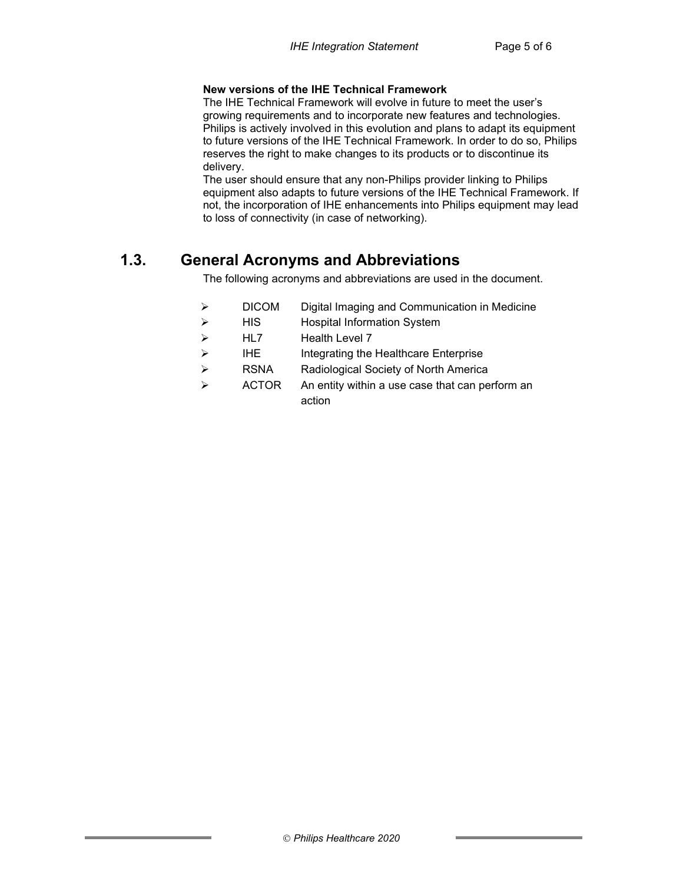#### **New versions of the IHE Technical Framework**

The IHE Technical Framework will evolve in future to meet the user's growing requirements and to incorporate new features and technologies. Philips is actively involved in this evolution and plans to adapt its equipment to future versions of the IHE Technical Framework. In order to do so, Philips reserves the right to make changes to its products or to discontinue its delivery.

The user should ensure that any non-Philips provider linking to Philips equipment also adapts to future versions of the IHE Technical Framework. If not, the incorporation of IHE enhancements into Philips equipment may lead to loss of connectivity (in case of networking).

## **1.3. General Acronyms and Abbreviations**

The following acronyms and abbreviations are used in the document.

- DICOM Digital Imaging and Communication in Medicine
- > HIS Hospital Information System
- > HL7 Health Level 7
- $\triangleright$  IHE Integrating the Healthcare Enterprise
- RSNA Radiological Society of North America
- $\triangleright$  ACTOR An entity within a use case that can perform an action